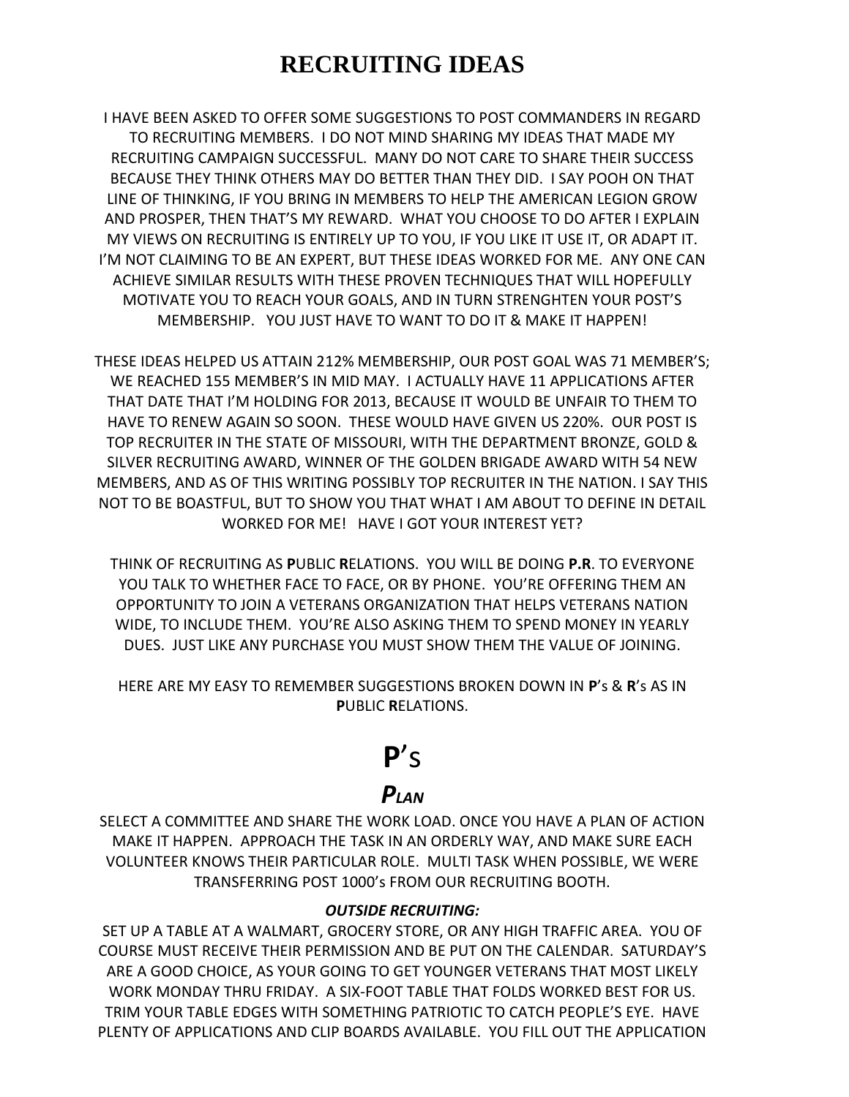# **RECRUITING IDEAS**

I HAVE BEEN ASKED TO OFFER SOME SUGGESTIONS TO POST COMMANDERS IN REGARD TO RECRUITING MEMBERS. I DO NOT MIND SHARING MY IDEAS THAT MADE MY RECRUITING CAMPAIGN SUCCESSFUL. MANY DO NOT CARE TO SHARE THEIR SUCCESS BECAUSE THEY THINK OTHERS MAY DO BETTER THAN THEY DID. I SAY POOH ON THAT LINE OF THINKING, IF YOU BRING IN MEMBERS TO HELP THE AMERICAN LEGION GROW AND PROSPER, THEN THAT'S MY REWARD. WHAT YOU CHOOSE TO DO AFTER I EXPLAIN MY VIEWS ON RECRUITING IS ENTIRELY UP TO YOU, IF YOU LIKE IT USE IT, OR ADAPT IT. I'M NOT CLAIMING TO BE AN EXPERT, BUT THESE IDEAS WORKED FOR ME. ANY ONE CAN ACHIEVE SIMILAR RESULTS WITH THESE PROVEN TECHNIQUES THAT WILL HOPEFULLY MOTIVATE YOU TO REACH YOUR GOALS, AND IN TURN STRENGHTEN YOUR POST'S MEMBERSHIP. YOU JUST HAVE TO WANT TO DO IT & MAKE IT HAPPEN!

THESE IDEAS HELPED US ATTAIN 212% MEMBERSHIP, OUR POST GOAL WAS 71 MEMBER'S; WE REACHED 155 MEMBER'S IN MID MAY. I ACTUALLY HAVE 11 APPLICATIONS AFTER THAT DATE THAT I'M HOLDING FOR 2013, BECAUSE IT WOULD BE UNFAIR TO THEM TO HAVE TO RENEW AGAIN SO SOON. THESE WOULD HAVE GIVEN US 220%. OUR POST IS TOP RECRUITER IN THE STATE OF MISSOURI, WITH THE DEPARTMENT BRONZE, GOLD & SILVER RECRUITING AWARD, WINNER OF THE GOLDEN BRIGADE AWARD WITH 54 NEW MEMBERS, AND AS OF THIS WRITING POSSIBLY TOP RECRUITER IN THE NATION. I SAY THIS NOT TO BE BOASTFUL, BUT TO SHOW YOU THAT WHAT I AM ABOUT TO DEFINE IN DETAIL WORKED FOR ME! HAVE I GOT YOUR INTEREST YET?

THINK OF RECRUITING AS **P**UBLIC **R**ELATIONS. YOU WILL BE DOING **P.R**. TO EVERYONE YOU TALK TO WHETHER FACE TO FACE, OR BY PHONE. YOU'RE OFFERING THEM AN OPPORTUNITY TO JOIN A VETERANS ORGANIZATION THAT HELPS VETERANS NATION WIDE, TO INCLUDE THEM. YOU'RE ALSO ASKING THEM TO SPEND MONEY IN YEARLY DUES. JUST LIKE ANY PURCHASE YOU MUST SHOW THEM THE VALUE OF JOINING.

HERE ARE MY EASY TO REMEMBER SUGGESTIONS BROKEN DOWN IN **P**'s & **R**'s AS IN **P**UBLIC **R**ELATIONS.

# **P**'s

# *PLAN*

SELECT A COMMITTEE AND SHARE THE WORK LOAD. ONCE YOU HAVE A PLAN OF ACTION MAKE IT HAPPEN. APPROACH THE TASK IN AN ORDERLY WAY, AND MAKE SURE EACH VOLUNTEER KNOWS THEIR PARTICULAR ROLE. MULTI TASK WHEN POSSIBLE, WE WERE TRANSFERRING POST 1000's FROM OUR RECRUITING BOOTH.

#### *OUTSIDE RECRUITING:*

SET UP A TABLE AT A WALMART, GROCERY STORE, OR ANY HIGH TRAFFIC AREA. YOU OF COURSE MUST RECEIVE THEIR PERMISSION AND BE PUT ON THE CALENDAR. SATURDAY'S ARE A GOOD CHOICE, AS YOUR GOING TO GET YOUNGER VETERANS THAT MOST LIKELY WORK MONDAY THRU FRIDAY. A SIX-FOOT TABLE THAT FOLDS WORKED BEST FOR US. TRIM YOUR TABLE EDGES WITH SOMETHING PATRIOTIC TO CATCH PEOPLE'S EYE. HAVE PLENTY OF APPLICATIONS AND CLIP BOARDS AVAILABLE. YOU FILL OUT THE APPLICATION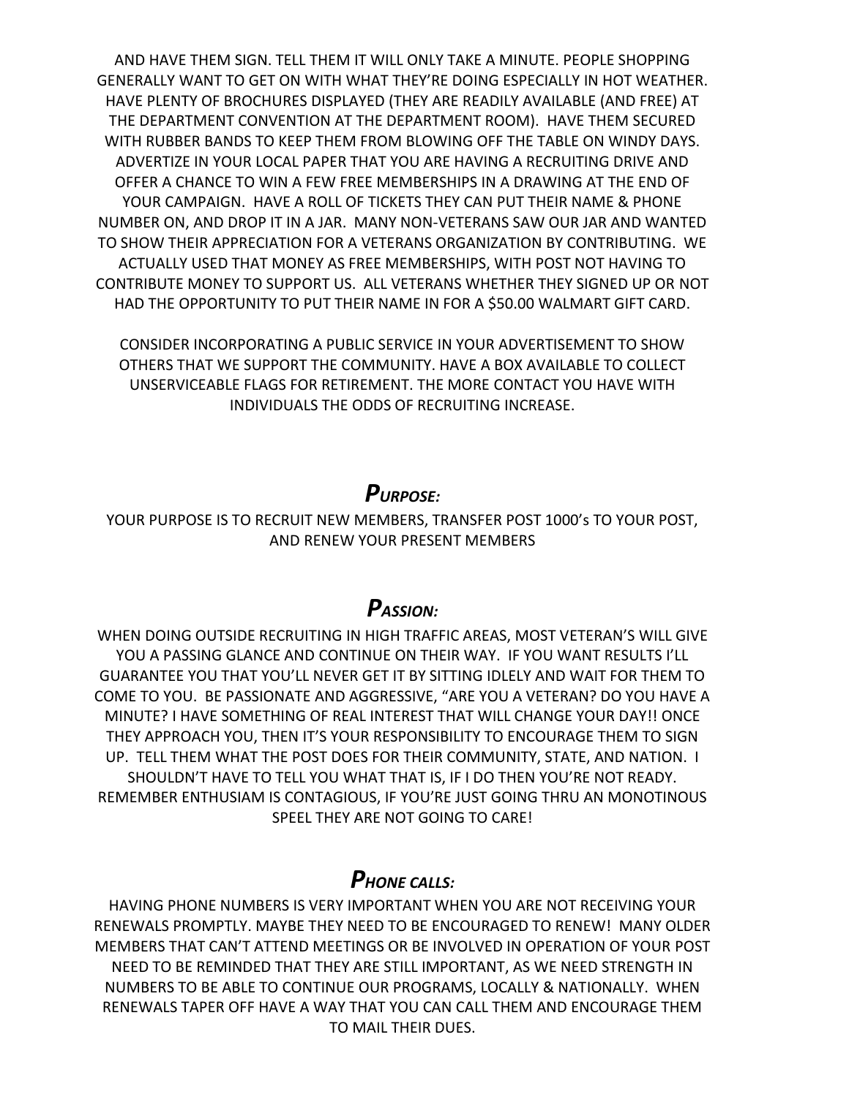AND HAVE THEM SIGN. TELL THEM IT WILL ONLY TAKE A MINUTE. PEOPLE SHOPPING GENERALLY WANT TO GET ON WITH WHAT THEY'RE DOING ESPECIALLY IN HOT WEATHER. HAVE PLENTY OF BROCHURES DISPLAYED (THEY ARE READILY AVAILABLE (AND FREE) AT THE DEPARTMENT CONVENTION AT THE DEPARTMENT ROOM). HAVE THEM SECURED WITH RUBBER BANDS TO KEEP THEM FROM BLOWING OFF THE TABLE ON WINDY DAYS. ADVERTIZE IN YOUR LOCAL PAPER THAT YOU ARE HAVING A RECRUITING DRIVE AND OFFER A CHANCE TO WIN A FEW FREE MEMBERSHIPS IN A DRAWING AT THE END OF YOUR CAMPAIGN. HAVE A ROLL OF TICKETS THEY CAN PUT THEIR NAME & PHONE NUMBER ON, AND DROP IT IN A JAR. MANY NON-VETERANS SAW OUR JAR AND WANTED TO SHOW THEIR APPRECIATION FOR A VETERANS ORGANIZATION BY CONTRIBUTING. WE ACTUALLY USED THAT MONEY AS FREE MEMBERSHIPS, WITH POST NOT HAVING TO CONTRIBUTE MONEY TO SUPPORT US. ALL VETERANS WHETHER THEY SIGNED UP OR NOT HAD THE OPPORTUNITY TO PUT THEIR NAME IN FOR A \$50.00 WALMART GIFT CARD.

CONSIDER INCORPORATING A PUBLIC SERVICE IN YOUR ADVERTISEMENT TO SHOW OTHERS THAT WE SUPPORT THE COMMUNITY. HAVE A BOX AVAILABLE TO COLLECT UNSERVICEABLE FLAGS FOR RETIREMENT. THE MORE CONTACT YOU HAVE WITH INDIVIDUALS THE ODDS OF RECRUITING INCREASE.

#### *PURPOSE:*

YOUR PURPOSE IS TO RECRUIT NEW MEMBERS, TRANSFER POST 1000's TO YOUR POST, AND RENEW YOUR PRESENT MEMBERS

#### *PASSION:*

WHEN DOING OUTSIDE RECRUITING IN HIGH TRAFFIC AREAS, MOST VETERAN'S WILL GIVE YOU A PASSING GLANCE AND CONTINUE ON THEIR WAY. IF YOU WANT RESULTS I'LL GUARANTEE YOU THAT YOU'LL NEVER GET IT BY SITTING IDLELY AND WAIT FOR THEM TO COME TO YOU. BE PASSIONATE AND AGGRESSIVE, "ARE YOU A VETERAN? DO YOU HAVE A MINUTE? I HAVE SOMETHING OF REAL INTEREST THAT WILL CHANGE YOUR DAY!! ONCE THEY APPROACH YOU, THEN IT'S YOUR RESPONSIBILITY TO ENCOURAGE THEM TO SIGN UP. TELL THEM WHAT THE POST DOES FOR THEIR COMMUNITY, STATE, AND NATION. I SHOULDN'T HAVE TO TELL YOU WHAT THAT IS, IF I DO THEN YOU'RE NOT READY. REMEMBER ENTHUSIAM IS CONTAGIOUS, IF YOU'RE JUST GOING THRU AN MONOTINOUS SPEEL THEY ARE NOT GOING TO CARE!

#### *PHONE CALLS:*

HAVING PHONE NUMBERS IS VERY IMPORTANT WHEN YOU ARE NOT RECEIVING YOUR RENEWALS PROMPTLY. MAYBE THEY NEED TO BE ENCOURAGED TO RENEW! MANY OLDER MEMBERS THAT CAN'T ATTEND MEETINGS OR BE INVOLVED IN OPERATION OF YOUR POST NEED TO BE REMINDED THAT THEY ARE STILL IMPORTANT, AS WE NEED STRENGTH IN NUMBERS TO BE ABLE TO CONTINUE OUR PROGRAMS, LOCALLY & NATIONALLY. WHEN RENEWALS TAPER OFF HAVE A WAY THAT YOU CAN CALL THEM AND ENCOURAGE THEM TO MAIL THEIR DUES.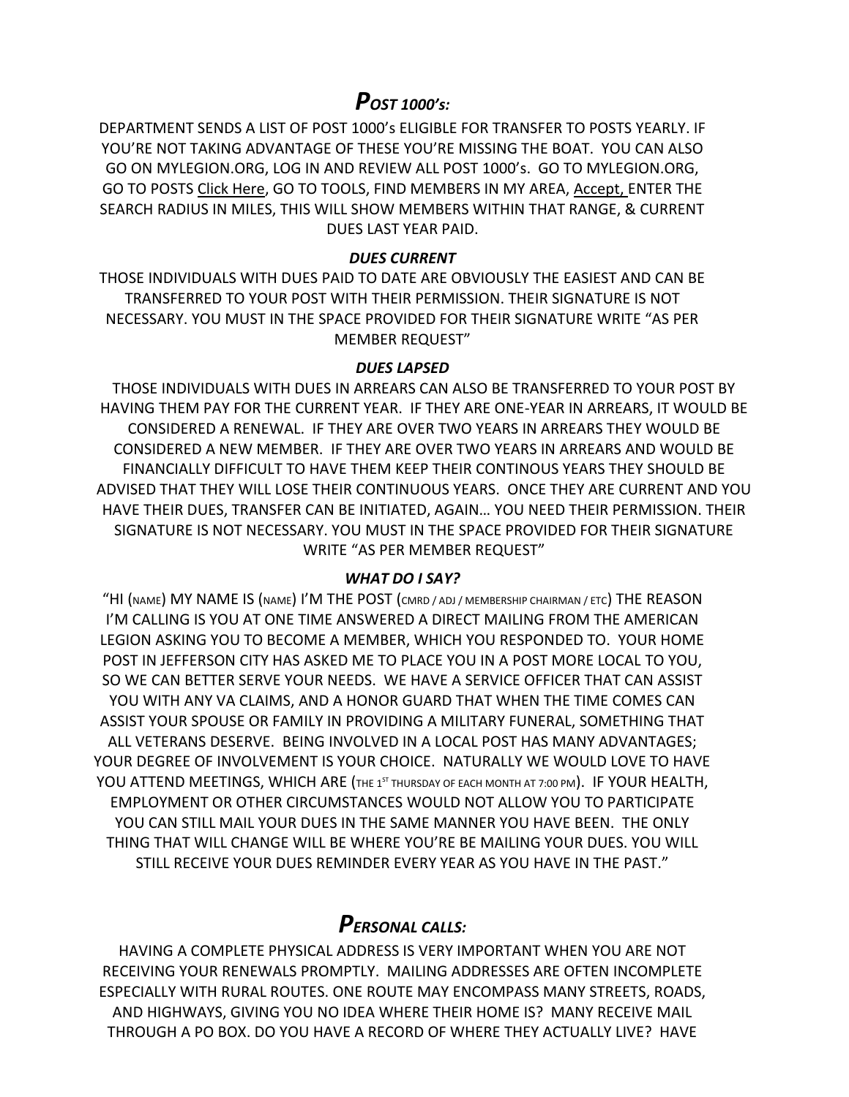## *POST 1000's:*

DEPARTMENT SENDS A LIST OF POST 1000's ELIGIBLE FOR TRANSFER TO POSTS YEARLY. IF YOU'RE NOT TAKING ADVANTAGE OF THESE YOU'RE MISSING THE BOAT. YOU CAN ALSO GO ON MYLEGION.ORG, LOG IN AND REVIEW ALL POST 1000's. GO TO MYLEGION.ORG, GO TO POSTS Click Here, GO TO TOOLS, FIND MEMBERS IN MY AREA, Accept, ENTER THE SEARCH RADIUS IN MILES, THIS WILL SHOW MEMBERS WITHIN THAT RANGE, & CURRENT DUES LAST YEAR PAID.

#### *DUES CURRENT*

THOSE INDIVIDUALS WITH DUES PAID TO DATE ARE OBVIOUSLY THE EASIEST AND CAN BE TRANSFERRED TO YOUR POST WITH THEIR PERMISSION. THEIR SIGNATURE IS NOT NECESSARY. YOU MUST IN THE SPACE PROVIDED FOR THEIR SIGNATURE WRITE "AS PER MEMBER REQUEST"

#### *DUES LAPSED*

THOSE INDIVIDUALS WITH DUES IN ARREARS CAN ALSO BE TRANSFERRED TO YOUR POST BY HAVING THEM PAY FOR THE CURRENT YEAR. IF THEY ARE ONE-YEAR IN ARREARS, IT WOULD BE CONSIDERED A RENEWAL. IF THEY ARE OVER TWO YEARS IN ARREARS THEY WOULD BE CONSIDERED A NEW MEMBER. IF THEY ARE OVER TWO YEARS IN ARREARS AND WOULD BE FINANCIALLY DIFFICULT TO HAVE THEM KEEP THEIR CONTINOUS YEARS THEY SHOULD BE ADVISED THAT THEY WILL LOSE THEIR CONTINUOUS YEARS. ONCE THEY ARE CURRENT AND YOU HAVE THEIR DUES, TRANSFER CAN BE INITIATED, AGAIN… YOU NEED THEIR PERMISSION. THEIR SIGNATURE IS NOT NECESSARY. YOU MUST IN THE SPACE PROVIDED FOR THEIR SIGNATURE WRITE "AS PER MEMBER REQUEST"

#### *WHAT DO I SAY?*

"HI (NAME) MY NAME IS (NAME) I'M THE POST (CMRD / ADJ / MEMBERSHIP CHAIRMAN / ETC) THE REASON I'M CALLING IS YOU AT ONE TIME ANSWERED A DIRECT MAILING FROM THE AMERICAN LEGION ASKING YOU TO BECOME A MEMBER, WHICH YOU RESPONDED TO. YOUR HOME POST IN JEFFERSON CITY HAS ASKED ME TO PLACE YOU IN A POST MORE LOCAL TO YOU, SO WE CAN BETTER SERVE YOUR NEEDS. WE HAVE A SERVICE OFFICER THAT CAN ASSIST YOU WITH ANY VA CLAIMS, AND A HONOR GUARD THAT WHEN THE TIME COMES CAN ASSIST YOUR SPOUSE OR FAMILY IN PROVIDING A MILITARY FUNERAL, SOMETHING THAT ALL VETERANS DESERVE. BEING INVOLVED IN A LOCAL POST HAS MANY ADVANTAGES; YOUR DEGREE OF INVOLVEMENT IS YOUR CHOICE. NATURALLY WE WOULD LOVE TO HAVE YOU ATTEND MEETINGS, WHICH ARE (THE 1<sup>ST</sup> THURSDAY OF EACH MONTH AT 7:00 PM). IF YOUR HEALTH, EMPLOYMENT OR OTHER CIRCUMSTANCES WOULD NOT ALLOW YOU TO PARTICIPATE YOU CAN STILL MAIL YOUR DUES IN THE SAME MANNER YOU HAVE BEEN. THE ONLY THING THAT WILL CHANGE WILL BE WHERE YOU'RE BE MAILING YOUR DUES. YOU WILL STILL RECEIVE YOUR DUES REMINDER EVERY YEAR AS YOU HAVE IN THE PAST."

#### *PERSONAL CALLS:*

HAVING A COMPLETE PHYSICAL ADDRESS IS VERY IMPORTANT WHEN YOU ARE NOT RECEIVING YOUR RENEWALS PROMPTLY. MAILING ADDRESSES ARE OFTEN INCOMPLETE ESPECIALLY WITH RURAL ROUTES. ONE ROUTE MAY ENCOMPASS MANY STREETS, ROADS, AND HIGHWAYS, GIVING YOU NO IDEA WHERE THEIR HOME IS? MANY RECEIVE MAIL THROUGH A PO BOX. DO YOU HAVE A RECORD OF WHERE THEY ACTUALLY LIVE? HAVE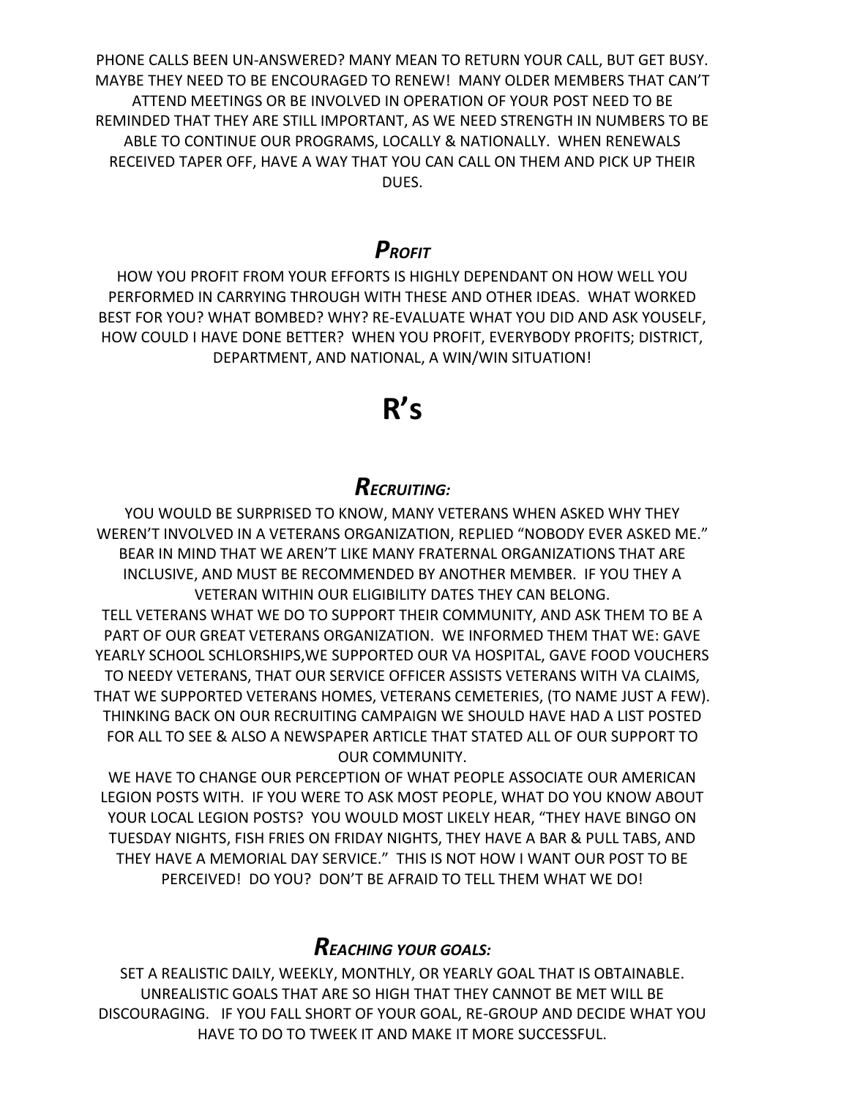PHONE CALLS BEEN UN-ANSWERED? MANY MEAN TO RETURN YOUR CALL, BUT GET BUSY. MAYBE THEY NEED TO BE ENCOURAGED TO RENEW! MANY OLDER MEMBERS THAT CAN'T ATTEND MEETINGS OR BE INVOLVED IN OPERATION OF YOUR POST NEED TO BE REMINDED THAT THEY ARE STILL IMPORTANT, AS WE NEED STRENGTH IN NUMBERS TO BE ABLE TO CONTINUE OUR PROGRAMS, LOCALLY & NATIONALLY. WHEN RENEWALS RECEIVED TAPER OFF, HAVE A WAY THAT YOU CAN CALL ON THEM AND PICK UP THEIR DUES.

### *PROFIT*

HOW YOU PROFIT FROM YOUR EFFORTS IS HIGHLY DEPENDANT ON HOW WELL YOU PERFORMED IN CARRYING THROUGH WITH THESE AND OTHER IDEAS. WHAT WORKED BEST FOR YOU? WHAT BOMBED? WHY? RE-EVALUATE WHAT YOU DID AND ASK YOUSELF, HOW COULD I HAVE DONE BETTER? WHEN YOU PROFIT, EVERYBODY PROFITS; DISTRICT, DEPARTMENT, AND NATIONAL, A WIN/WIN SITUATION!

# **R's**

# *RECRUITING:*

YOU WOULD BE SURPRISED TO KNOW, MANY VETERANS WHEN ASKED WHY THEY WEREN'T INVOLVED IN A VETERANS ORGANIZATION, REPLIED "NOBODY EVER ASKED ME." BEAR IN MIND THAT WE AREN'T LIKE MANY FRATERNAL ORGANIZATIONS THAT ARE INCLUSIVE, AND MUST BE RECOMMENDED BY ANOTHER MEMBER. IF YOU THEY A VETERAN WITHIN OUR ELIGIBILITY DATES THEY CAN BELONG. TELL VETERANS WHAT WE DO TO SUPPORT THEIR COMMUNITY, AND ASK THEM TO BE A PART OF OUR GREAT VETERANS ORGANIZATION. WE INFORMED THEM THAT WE: GAVE YEARLY SCHOOL SCHLORSHIPS,WE SUPPORTED OUR VA HOSPITAL, GAVE FOOD VOUCHERS TO NEEDY VETERANS, THAT OUR SERVICE OFFICER ASSISTS VETERANS WITH VA CLAIMS, THAT WE SUPPORTED VETERANS HOMES, VETERANS CEMETERIES, (TO NAME JUST A FEW). THINKING BACK ON OUR RECRUITING CAMPAIGN WE SHOULD HAVE HAD A LIST POSTED FOR ALL TO SEE & ALSO A NEWSPAPER ARTICLE THAT STATED ALL OF OUR SUPPORT TO OUR COMMUNITY.

WE HAVE TO CHANGE OUR PERCEPTION OF WHAT PEOPLE ASSOCIATE OUR AMERICAN LEGION POSTS WITH. IF YOU WERE TO ASK MOST PEOPLE, WHAT DO YOU KNOW ABOUT YOUR LOCAL LEGION POSTS? YOU WOULD MOST LIKELY HEAR, "THEY HAVE BINGO ON TUESDAY NIGHTS, FISH FRIES ON FRIDAY NIGHTS, THEY HAVE A BAR & PULL TABS, AND THEY HAVE A MEMORIAL DAY SERVICE." THIS IS NOT HOW I WANT OUR POST TO BE PERCEIVED! DO YOU? DON'T BE AFRAID TO TELL THEM WHAT WE DO!

## *REACHING YOUR GOALS:*

SET A REALISTIC DAILY, WEEKLY, MONTHLY, OR YEARLY GOAL THAT IS OBTAINABLE. UNREALISTIC GOALS THAT ARE SO HIGH THAT THEY CANNOT BE MET WILL BE DISCOURAGING. IF YOU FALL SHORT OF YOUR GOAL, RE-GROUP AND DECIDE WHAT YOU HAVE TO DO TO TWEEK IT AND MAKE IT MORE SUCCESSFUL.